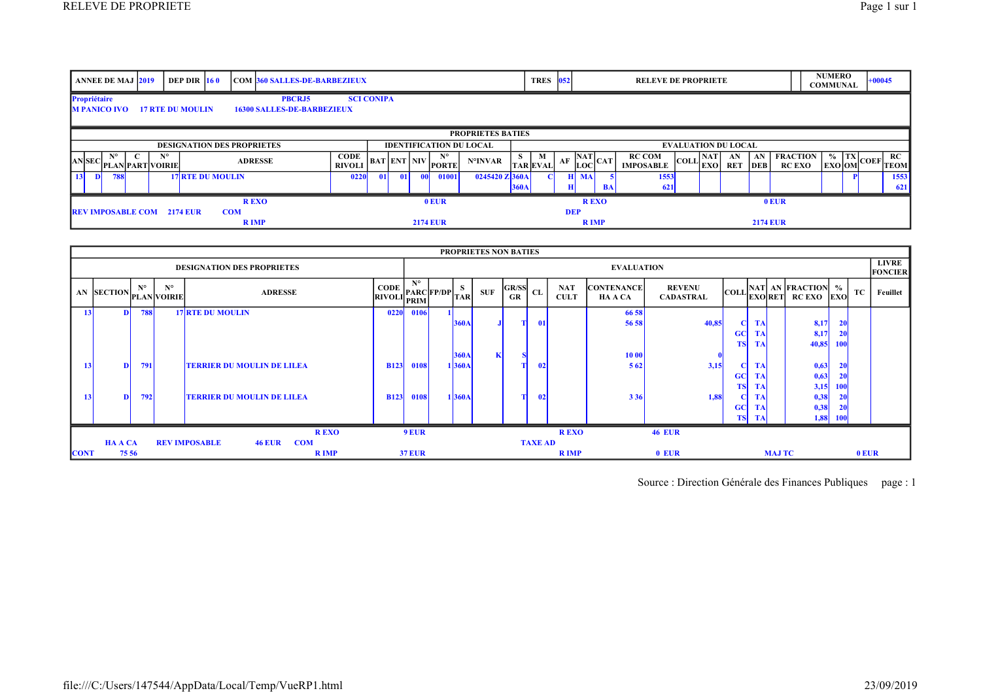| <b>ANNEE DE MAJ 2019</b>                                                                                                                  |                          | <b>DEP DIR 160</b>      |  |                            | <b>COM 360 SALLES-DE-BARBEZIEUX</b> |                              |  |                                |                 |                                     |                  |             | <b>TRES</b>          | 052        |                                                         | <b>RELEVE DE PROPRIETE</b>        |                                                           |  |                  |                 |                                  | <b>NUMERO</b><br><b>COMMUNAL</b>                         | $+00045$          |
|-------------------------------------------------------------------------------------------------------------------------------------------|--------------------------|-------------------------|--|----------------------------|-------------------------------------|------------------------------|--|--------------------------------|-----------------|-------------------------------------|------------------|-------------|----------------------|------------|---------------------------------------------------------|-----------------------------------|-----------------------------------------------------------|--|------------------|-----------------|----------------------------------|----------------------------------------------------------|-------------------|
| Propriétaire<br><b>PBCRJ5</b><br><b>SCI CONIPA</b><br><b>M PANICO IVO</b><br><b>17 RTE DU MOULIN</b><br><b>16300 SALLES-DE-BARBEZIEUX</b> |                          |                         |  |                            |                                     |                              |  |                                |                 |                                     |                  |             |                      |            |                                                         |                                   |                                                           |  |                  |                 |                                  |                                                          |                   |
|                                                                                                                                           | <b>PROPRIETES BATIES</b> |                         |  |                            |                                     |                              |  |                                |                 |                                     |                  |             |                      |            |                                                         |                                   |                                                           |  |                  |                 |                                  |                                                          |                   |
| <b>DESIGNATION DES PROPRIETES</b>                                                                                                         |                          |                         |  |                            |                                     |                              |  | <b>IDENTIFICATION DU LOCAL</b> |                 |                                     |                  |             |                      |            | <b>EVALUATION DU LOCAL</b>                              |                                   |                                                           |  |                  |                 |                                  |                                                          |                   |
| <b>AN</b> SEC<br><b>PLAN PART VOIRIE</b>                                                                                                  |                          | $N^{\circ}$             |  | <b>ADRESSE</b>             |                                     | <b>CODE</b><br><b>RIVOLI</b> |  |                                |                 | $N^{\circ}$<br>. $ BAT ENT NIV OPT$ | N°INVAR          | - S - 1     | M<br><b>TAR EVAL</b> |            | $\overline{AB}$ AF $\frac{ \overline{NAT} }{ LOC }$ CAT | <b>RC COM</b><br><b>IMPOSABLE</b> | $\left \text{COLL}\right \substack{\text{NAT}\text{EXO}}$ |  | AN<br><b>RET</b> | AN<br>DEB       | <b>FRACTION</b><br><b>RC EXO</b> | $\begin{bmatrix} \% \\ \text{EXO} \end{bmatrix}$ OM COEF | RC<br><b>TEOM</b> |
| 13<br><b>788</b>                                                                                                                          |                          | <b>17 RTE DU MOULIN</b> |  |                            |                                     | 0220                         |  |                                |                 | 01001                               | $0245420$ Z 360A | <b>360A</b> |                      |            | <b>MA</b><br>BA                                         | 1553<br>621                       |                                                           |  |                  |                 |                                  |                                                          | 1553<br>621       |
|                                                                                                                                           |                          |                         |  | <b>REXO</b>                |                                     |                              |  |                                |                 | $0$ EUR                             |                  |             |                      |            | <b>REXO</b>                                             |                                   |                                                           |  |                  |                 | $0$ EUR                          |                                                          |                   |
| <b>REV IMPOSABLE COM 2174 EUR</b>                                                                                                         |                          |                         |  | <b>COM</b><br><b>R</b> IMP |                                     |                              |  |                                | <b>2174 EUR</b> |                                     |                  |             |                      | <b>DEP</b> | <b>R</b> IMP                                            |                                   |                                                           |  |                  | <b>2174 EUR</b> |                                  |                                                          |                   |

|                                                                                       | <b>PROPRIETES NON BATIES</b> |                                      |             |             |                                   |                                                                                                                                                                                                                                                  |                   |  |             |            |                      |               |                           |                              |                                   |           |           |               |                                                                        |                                |         |          |
|---------------------------------------------------------------------------------------|------------------------------|--------------------------------------|-------------|-------------|-----------------------------------|--------------------------------------------------------------------------------------------------------------------------------------------------------------------------------------------------------------------------------------------------|-------------------|--|-------------|------------|----------------------|---------------|---------------------------|------------------------------|-----------------------------------|-----------|-----------|---------------|------------------------------------------------------------------------|--------------------------------|---------|----------|
| <b>DESIGNATION DES PROPRIETES</b>                                                     |                              |                                      |             |             |                                   |                                                                                                                                                                                                                                                  | <b>EVALUATION</b> |  |             |            |                      |               |                           |                              |                                   |           |           |               |                                                                        | <b>LIVRE</b><br><b>FONCIER</b> |         |          |
|                                                                                       |                              | $_4$ AN SECTION $_{\rm PLAN}$ VOIRIE | $N^{\circ}$ | $N^{\circ}$ | <b>ADRESSE</b>                    | $\begin{bmatrix} \text{CODE} \\ \text{RVOLI} \end{bmatrix} \begin{bmatrix} \text{N}^{\circ} \\ \text{PARC} \end{bmatrix} \begin{bmatrix} \text{FP} / \text{DP} \\ \text{TAR} \end{bmatrix} \begin{bmatrix} \text{S} \\ \text{TAR} \end{bmatrix}$ | N°                |  |             | <b>SUF</b> | $ GR/SS _{CL}$<br>GR |               | <b>NAT</b><br><b>CULT</b> | <b>CONTENANCE</b><br>HA A CA | <b>REVENU</b><br><b>CADASTRAL</b> |           | 'EXORET   |               | $\begin{bmatrix} \text{COL} \end{bmatrix}$ NAT AN FRACTION %<br>RC EXO | <b>EXO</b>                     | TC      | Feuillet |
| 13                                                                                    |                              |                                      | <b>788</b>  |             | <b>17 RTE DU MOULIN</b>           | 0220                                                                                                                                                                                                                                             | 0106              |  |             |            |                      |               |                           | 66 58                        |                                   |           |           |               |                                                                        |                                |         |          |
|                                                                                       |                              |                                      |             |             |                                   |                                                                                                                                                                                                                                                  |                   |  | <b>360A</b> |            |                      | -01           |                           | 56 58                        | 40,85                             |           | <b>TA</b> |               | 8,17                                                                   | <b>20</b>                      |         |          |
|                                                                                       |                              |                                      |             |             |                                   |                                                                                                                                                                                                                                                  |                   |  |             |            |                      |               |                           |                              |                                   | <b>GC</b> | <b>TA</b> |               | 8,17                                                                   | -20                            |         |          |
|                                                                                       |                              |                                      |             |             |                                   |                                                                                                                                                                                                                                                  |                   |  |             |            |                      |               |                           |                              |                                   | <b>TS</b> | <b>TA</b> |               | 40,85                                                                  | <b>100</b>                     |         |          |
|                                                                                       |                              |                                      |             |             |                                   |                                                                                                                                                                                                                                                  |                   |  | <b>360A</b> |            |                      |               |                           | 10 00                        |                                   |           |           |               |                                                                        |                                |         |          |
|                                                                                       | 13                           |                                      | 791         |             | <b>TERRIER DU MOULIN DE LILEA</b> | <b>B123</b>                                                                                                                                                                                                                                      | 0108              |  | 1360A       |            |                      | 02            |                           | 562                          | 3,15                              |           | <b>TA</b> |               | 0,63                                                                   | <b>20</b>                      |         |          |
|                                                                                       |                              |                                      |             |             |                                   |                                                                                                                                                                                                                                                  |                   |  |             |            |                      |               |                           |                              |                                   | <b>GC</b> | <b>TA</b> |               | 0,63                                                                   | <b>20</b>                      |         |          |
|                                                                                       |                              |                                      |             |             |                                   |                                                                                                                                                                                                                                                  |                   |  |             |            |                      |               |                           |                              |                                   | <b>TS</b> | <b>TA</b> |               | 3,15                                                                   | <b>100</b>                     |         |          |
|                                                                                       | 13 <sup>1</sup>              |                                      | 792         |             | <b>TERRIER DU MOULIN DE LILEA</b> | <b>B123</b>                                                                                                                                                                                                                                      | 0108              |  | 1 360A      |            |                      | $\mathbf{02}$ |                           | 3 3 6                        | 1,88                              |           | <b>TA</b> |               | 0,38                                                                   | <b>20</b>                      |         |          |
|                                                                                       |                              |                                      |             |             |                                   |                                                                                                                                                                                                                                                  |                   |  |             |            |                      |               |                           |                              |                                   | <b>GC</b> | <b>TA</b> |               | 0,38                                                                   | <b>20</b>                      |         |          |
|                                                                                       |                              |                                      |             |             |                                   |                                                                                                                                                                                                                                                  |                   |  |             |            |                      |               |                           |                              |                                   | <b>TS</b> | <b>TA</b> |               | 1,88                                                                   | - 100                          |         |          |
| <b>46 EUR</b><br><b>REXO</b><br><b>9 EUR</b><br><b>REXO</b>                           |                              |                                      |             |             |                                   |                                                                                                                                                                                                                                                  |                   |  |             |            |                      |               |                           |                              |                                   |           |           |               |                                                                        |                                |         |          |
| <b>TAXE AD</b><br><b>HAACA</b><br><b>COM</b><br><b>REV IMPOSABLE</b><br><b>46 EUR</b> |                              |                                      |             |             |                                   |                                                                                                                                                                                                                                                  |                   |  |             |            |                      |               |                           |                              |                                   |           |           |               |                                                                        |                                |         |          |
| <b>CONT</b>                                                                           |                              | 75 56                                |             |             | <b>R</b> IMP                      |                                                                                                                                                                                                                                                  | <b>37 EUR</b>     |  |             |            |                      |               | <b>R</b> IMP              |                              | 0 EUR                             |           |           | <b>MAJ TC</b> |                                                                        |                                | $0$ EUR |          |

Source : Direction Générale des Finances Publiques page : 1